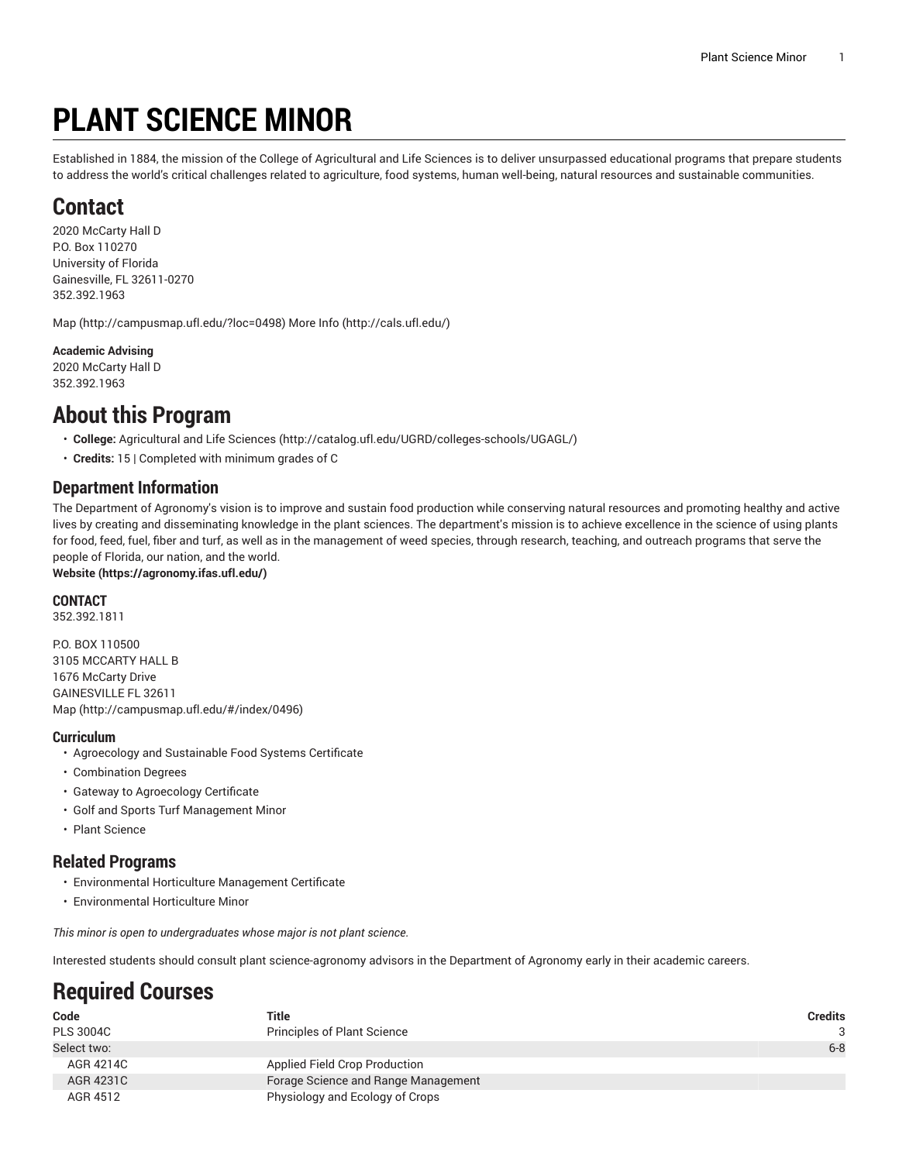# **PLANT SCIENCE MINOR**

Established in 1884, the mission of the College of Agricultural and Life Sciences is to deliver unsurpassed educational programs that prepare students to address the world's critical challenges related to agriculture, food systems, human well-being, natural resources and sustainable communities.

## **Contact**

2020 McCarty Hall D P.O. Box 110270 University of Florida Gainesville, FL 32611-0270 352.392.1963

[Map](http://campusmap.ufl.edu/?loc=0498) ([http://campusmap.ufl.edu/?loc=0498\)](http://campusmap.ufl.edu/?loc=0498) [More](http://cals.ufl.edu/) Info (<http://cals.ufl.edu/>)

#### **Academic Advising**

2020 McCarty Hall D 352.392.1963

### **About this Program**

- **College:** [Agricultural](http://catalog.ufl.edu/UGRD/colleges-schools/UGAGL/) and Life Sciences ([http://catalog.ufl.edu/UGRD/colleges-schools/UGAGL/\)](http://catalog.ufl.edu/UGRD/colleges-schools/UGAGL/)
- **Credits:** 15 | Completed with minimum grades of C

### **Department Information**

The Department of Agronomy's vision is to improve and sustain food production while conserving natural resources and promoting healthy and active lives by creating and disseminating knowledge in the plant sciences. The department's mission is to achieve excellence in the science of using plants for food, feed, fuel, fiber and turf, as well as in the management of weed species, through research, teaching, and outreach programs that serve the people of Florida, our nation, and the world.

**[Website](https://agronomy.ifas.ufl.edu/) (<https://agronomy.ifas.ufl.edu/>)**

#### **CONTACT**

352.392.1811

P.O. BOX 110500 3105 MCCARTY HALL B 1676 McCarty Drive GAINESVILLE FL 32611 [Map](http://campusmap.ufl.edu/#/index/0496) ([http://campusmap.ufl.edu/#/index/0496\)](http://campusmap.ufl.edu/#/index/0496)

#### **Curriculum**

- Agroecology and Sustainable Food Systems Certificate
- Combination Degrees
- Gateway to Agroecology Certificate
- Golf and Sports Turf Management Minor
- Plant Science

### **Related Programs**

- Environmental Horticulture Management Certificate
- Environmental Horticulture Minor

*This minor is open to undergraduates whose major is not plant science.*

Interested students should consult plant science-agronomy advisors in the Department of Agronomy early in their academic careers.

# **Required Courses**

| Code             | Title                               | <b>Credits</b> |
|------------------|-------------------------------------|----------------|
| <b>PLS 3004C</b> | <b>Principles of Plant Science</b>  | -3             |
| Select two:      |                                     | $6 - 8$        |
| AGR 4214C        | Applied Field Crop Production       |                |
| AGR 4231C        | Forage Science and Range Management |                |
| AGR 4512         | Physiology and Ecology of Crops     |                |